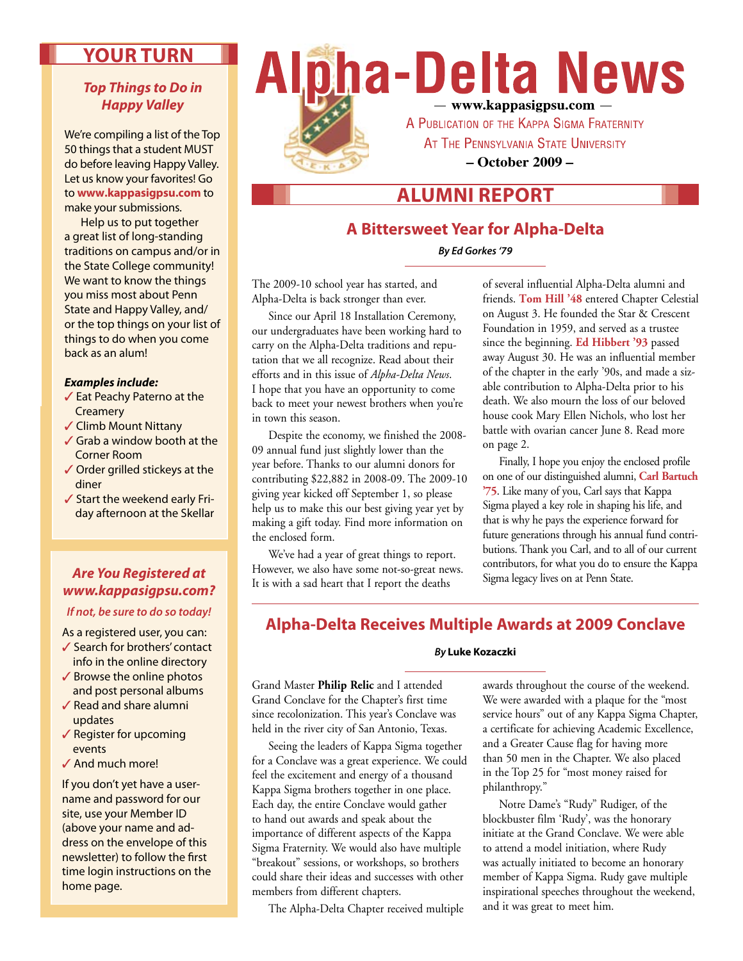# **Your Turn**

#### *Top Things to Do in Happy Valley*

We're compiling a list of the Top 50 things that a student MUST do before leaving Happy Valley. Let us know your favorites! Go to **www.kappasigpsu.com** to make your submissions.

Help us to put together a great list of long-standing traditions on campus and/or in the State College community! We want to know the things you miss most about Penn State and Happy Valley, and/ or the top things on your list of things to do when you come back as an alum!

#### *Examples include:*

- ✓ Eat Peachy Paterno at the **Creamery**
- ✓ Climb Mount Nittany
- ✓ Grab a window booth at the Corner Room
- ✓ Order grilled stickeys at the diner
- ✓ Start the weekend early Friday afternoon at the Skellar

#### *Are You Registered at www.kappasigpsu.com?*

#### *If not, be sure to do so today!*

- As a registered user, you can: ✓ Search for brothers' contact info in the online directory
- ✓ Browse the online photos
- and post personal albums ✓ Read and share alumni updates
- ✓ Register for upcoming events
- ✓ And much more!

If you don't yet have a username and password for our site, use your Member ID (above your name and address on the envelope of this newsletter) to follow the first time login instructions on the home page.



# **Alumni Report**

### **A Bittersweet Year for Alpha-Delta**

*By Ed Gorkes '79*

The 2009-10 school year has started, and Alpha-Delta is back stronger than ever.

Since our April 18 Installation Ceremony, our undergraduates have been working hard to carry on the Alpha-Delta traditions and reputation that we all recognize. Read about their efforts and in this issue of *Alpha-Delta News*. I hope that you have an opportunity to come back to meet your newest brothers when you're in town this season.

Despite the economy, we finished the 2008- 09 annual fund just slightly lower than the year before. Thanks to our alumni donors for contributing \$22,882 in 2008-09. The 2009-10 giving year kicked off September 1, so please help us to make this our best giving year yet by making a gift today. Find more information on the enclosed form.

We've had a year of great things to report. However, we also have some not-so-great news. It is with a sad heart that I report the deaths

of several influential Alpha-Delta alumni and friends. **Tom Hill '48** entered Chapter Celestial on August 3. He founded the Star & Crescent Foundation in 1959, and served as a trustee since the beginning. **Ed Hibbert '93** passed away August 30. He was an influential member of the chapter in the early '90s, and made a sizable contribution to Alpha-Delta prior to his death. We also mourn the loss of our beloved house cook Mary Ellen Nichols, who lost her battle with ovarian cancer June 8. Read more on page 2.

Finally, I hope you enjoy the enclosed profile on one of our distinguished alumni, **Carl Bartuch '75**. Like many of you, Carl says that Kappa Sigma played a key role in shaping his life, and that is why he pays the experience forward for future generations through his annual fund contributions. Thank you Carl, and to all of our current contributors, for what you do to ensure the Kappa Sigma legacy lives on at Penn State.

### **Alpha-Delta Receives Multiple Awards at 2009 Conclave**

#### *By* **Luke Kozaczki**

Grand Master **Philip Relic** and I attended Grand Conclave for the Chapter's first time since recolonization. This year's Conclave was held in the river city of San Antonio, Texas.

Seeing the leaders of Kappa Sigma together for a Conclave was a great experience. We could feel the excitement and energy of a thousand Kappa Sigma brothers together in one place. Each day, the entire Conclave would gather to hand out awards and speak about the importance of different aspects of the Kappa Sigma Fraternity. We would also have multiple "breakout" sessions, or workshops, so brothers could share their ideas and successes with other members from different chapters.

The Alpha-Delta Chapter received multiple

awards throughout the course of the weekend. We were awarded with a plaque for the "most service hours" out of any Kappa Sigma Chapter, a certificate for achieving Academic Excellence, and a Greater Cause flag for having more than 50 men in the Chapter. We also placed in the Top 25 for "most money raised for philanthropy."

Notre Dame's "Rudy" Rudiger, of the blockbuster film 'Rudy', was the honorary initiate at the Grand Conclave. We were able to attend a model initiation, where Rudy was actually initiated to become an honorary member of Kappa Sigma. Rudy gave multiple inspirational speeches throughout the weekend, and it was great to meet him.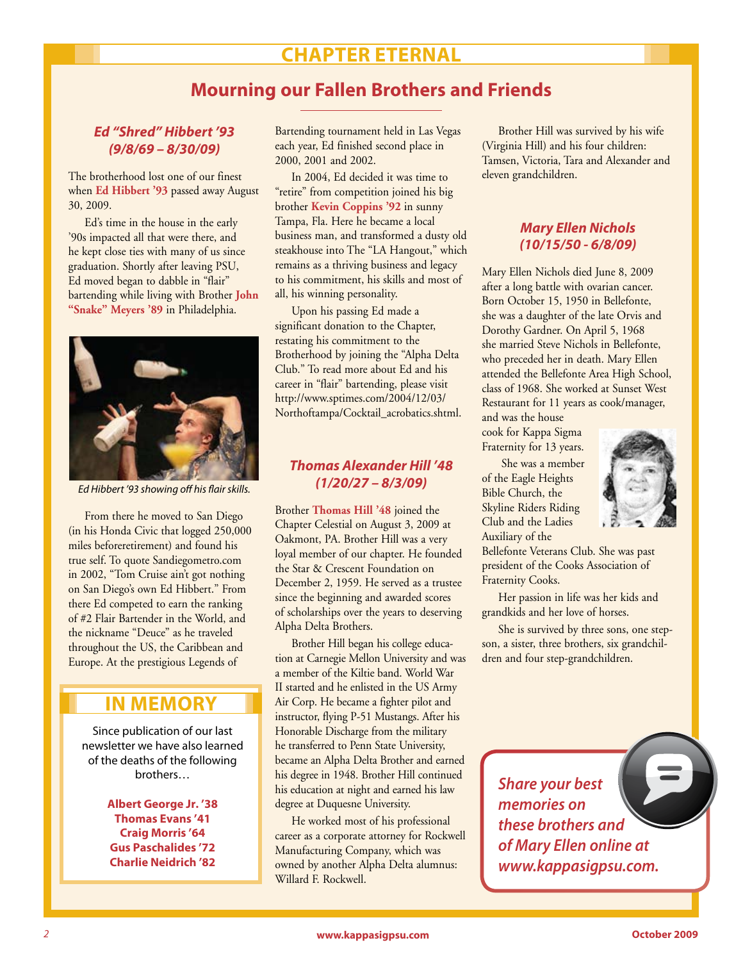# **Chapter Eternal**

### **Mourning our Fallen Brothers and Friends**

#### *Ed "Shred" Hibbert '93 (9/8/69 – 8/30/09)*

The brotherhood lost one of our finest when **Ed Hibbert '93** passed away August 30, 2009.

Ed's time in the house in the early '90s impacted all that were there, and he kept close ties with many of us since graduation. Shortly after leaving PSU, Ed moved began to dabble in "flair" bartending while living with Brother **John "Snake" Meyers '89** in Philadelphia.



*Ed Hibbert '93 showing off his flair skills.*

From there he moved to San Diego (in his Honda Civic that logged 250,000 miles beforeretirement) and found his true self. To quote Sandiegometro.com in 2002, "Tom Cruise ain't got nothing on San Diego's own Ed Hibbert." From there Ed competed to earn the ranking of #2 Flair Bartender in the World, and the nickname "Deuce" as he traveled throughout the US, the Caribbean and Europe. At the prestigious Legends of

# **In Memory**

Since publication of our last newsletter we have also learned of the deaths of the following brothers…

> **Albert George Jr. '38 Thomas Evans '41 Craig Morris '64 Gus Paschalides '72 Charlie Neidrich '82**

Bartending tournament held in Las Vegas each year, Ed finished second place in 2000, 2001 and 2002.

In 2004, Ed decided it was time to "retire" from competition joined his big brother **Kevin Coppins '92** in sunny Tampa, Fla. Here he became a local business man, and transformed a dusty old steakhouse into The "LA Hangout," which remains as a thriving business and legacy to his commitment, his skills and most of all, his winning personality.

Upon his passing Ed made a significant donation to the Chapter, restating his commitment to the Brotherhood by joining the "Alpha Delta Club." To read more about Ed and his career in "flair" bartending, please visit http://www.sptimes.com/2004/12/03/ Northoftampa/Cocktail\_acrobatics.shtml.

#### *Thomas Alexander Hill '48 (1/20/27 – 8/3/09)*

Brother **Thomas Hill '48** joined the Chapter Celestial on August 3, 2009 at Oakmont, PA. Brother Hill was a very loyal member of our chapter. He founded the Star & Crescent Foundation on December 2, 1959. He served as a trustee since the beginning and awarded scores of scholarships over the years to deserving Alpha Delta Brothers.

Brother Hill began his college education at Carnegie Mellon University and was a member of the Kiltie band. World War II started and he enlisted in the US Army Air Corp. He became a fighter pilot and instructor, flying P-51 Mustangs. After his Honorable Discharge from the military he transferred to Penn State University, became an Alpha Delta Brother and earned his degree in 1948. Brother Hill continued his education at night and earned his law degree at Duquesne University.

He worked most of his professional career as a corporate attorney for Rockwell Manufacturing Company, which was owned by another Alpha Delta alumnus: Willard F. Rockwell.

Brother Hill was survived by his wife (Virginia Hill) and his four children: Tamsen, Victoria, Tara and Alexander and eleven grandchildren.

#### *Mary Ellen Nichols (10/15/50 - 6/8/09)*

Mary Ellen Nichols died June 8, 2009 after a long battle with ovarian cancer. Born October 15, 1950 in Bellefonte, she was a daughter of the late Orvis and Dorothy Gardner. On April 5, 1968 she married Steve Nichols in Bellefonte, who preceded her in death. Mary Ellen attended the Bellefonte Area High School, class of 1968. She worked at Sunset West Restaurant for 11 years as cook/manager, and was the house

cook for Kappa Sigma Fraternity for 13 years.

 She was a member of the Eagle Heights Bible Church, the Skyline Riders Riding Club and the Ladies Auxiliary of the



Bellefonte Veterans Club. She was past president of the Cooks Association of Fraternity Cooks.

Her passion in life was her kids and grandkids and her love of horses.

She is survived by three sons, one stepson, a sister, three brothers, six grandchildren and four step-grandchildren.

*Share your best memories on these brothers and of Mary Ellen online at www.kappasigpsu.com.*

*2* **www.kappasigpsu.com October 2009**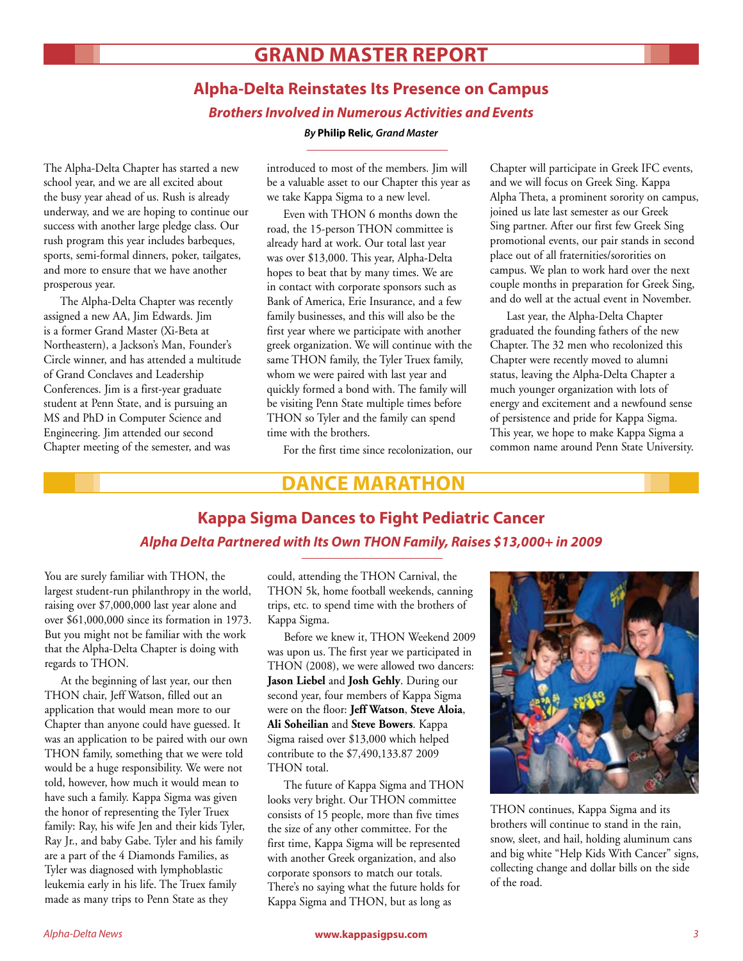# **Grand Master Report**

# **Alpha-Delta Reinstates Its Presence on Campus** *Brothers Involved in Numerous Activities and Events*

#### *By* **Philip Relic***, Grand Master*

The Alpha-Delta Chapter has started a new school year, and we are all excited about the busy year ahead of us. Rush is already underway, and we are hoping to continue our success with another large pledge class. Our rush program this year includes barbeques, sports, semi-formal dinners, poker, tailgates, and more to ensure that we have another prosperous year.

The Alpha-Delta Chapter was recently assigned a new AA, Jim Edwards. Jim is a former Grand Master (Xi-Beta at Northeastern), a Jackson's Man, Founder's Circle winner, and has attended a multitude of Grand Conclaves and Leadership Conferences. Jim is a first-year graduate student at Penn State, and is pursuing an MS and PhD in Computer Science and Engineering. Jim attended our second Chapter meeting of the semester, and was

introduced to most of the members. Jim will be a valuable asset to our Chapter this year as we take Kappa Sigma to a new level.

Even with THON 6 months down the road, the 15-person THON committee is already hard at work. Our total last year was over \$13,000. This year, Alpha-Delta hopes to beat that by many times. We are in contact with corporate sponsors such as Bank of America, Erie Insurance, and a few family businesses, and this will also be the first year where we participate with another greek organization. We will continue with the same THON family, the Tyler Truex family, whom we were paired with last year and quickly formed a bond with. The family will be visiting Penn State multiple times before THON so Tyler and the family can spend time with the brothers.

For the first time since recolonization, our

## **Dance Marathon**

Chapter will participate in Greek IFC events, and we will focus on Greek Sing. Kappa Alpha Theta, a prominent sorority on campus, joined us late last semester as our Greek Sing partner. After our first few Greek Sing promotional events, our pair stands in second place out of all fraternities/sororities on campus. We plan to work hard over the next couple months in preparation for Greek Sing, and do well at the actual event in November.

Last year, the Alpha-Delta Chapter graduated the founding fathers of the new Chapter. The 32 men who recolonized this Chapter were recently moved to alumni status, leaving the Alpha-Delta Chapter a much younger organization with lots of energy and excitement and a newfound sense of persistence and pride for Kappa Sigma. This year, we hope to make Kappa Sigma a common name around Penn State University.

## **Kappa Sigma Dances to Fight Pediatric Cancer** *Alpha Delta Partnered with Its Own THON Family, Raises \$13,000+ in 2009*

You are surely familiar with THON, the largest student-run philanthropy in the world, raising over \$7,000,000 last year alone and over \$61,000,000 since its formation in 1973. But you might not be familiar with the work that the Alpha-Delta Chapter is doing with regards to THON.

At the beginning of last year, our then THON chair, Jeff Watson, filled out an application that would mean more to our Chapter than anyone could have guessed. It was an application to be paired with our own THON family, something that we were told would be a huge responsibility. We were not told, however, how much it would mean to have such a family. Kappa Sigma was given the honor of representing the Tyler Truex family: Ray, his wife Jen and their kids Tyler, Ray Jr., and baby Gabe. Tyler and his family are a part of the 4 Diamonds Families, as Tyler was diagnosed with lymphoblastic leukemia early in his life. The Truex family made as many trips to Penn State as they

could, attending the THON Carnival, the THON 5k, home football weekends, canning trips, etc. to spend time with the brothers of Kappa Sigma.

Before we knew it, THON Weekend 2009 was upon us. The first year we participated in THON (2008), we were allowed two dancers: **Jason Liebel** and **Josh Gehly**. During our second year, four members of Kappa Sigma were on the floor: **Jeff Watson**, **Steve Aloia**, **Ali Soheilian** and **Steve Bowers**. Kappa Sigma raised over \$13,000 which helped contribute to the \$7,490,133.87 2009 THON total.

The future of Kappa Sigma and THON looks very bright. Our THON committee consists of 15 people, more than five times the size of any other committee. For the first time, Kappa Sigma will be represented with another Greek organization, and also corporate sponsors to match our totals. There's no saying what the future holds for Kappa Sigma and THON, but as long as



THON continues, Kappa Sigma and its brothers will continue to stand in the rain, snow, sleet, and hail, holding aluminum cans and big white "Help Kids With Cancer" signs, collecting change and dollar bills on the side of the road.